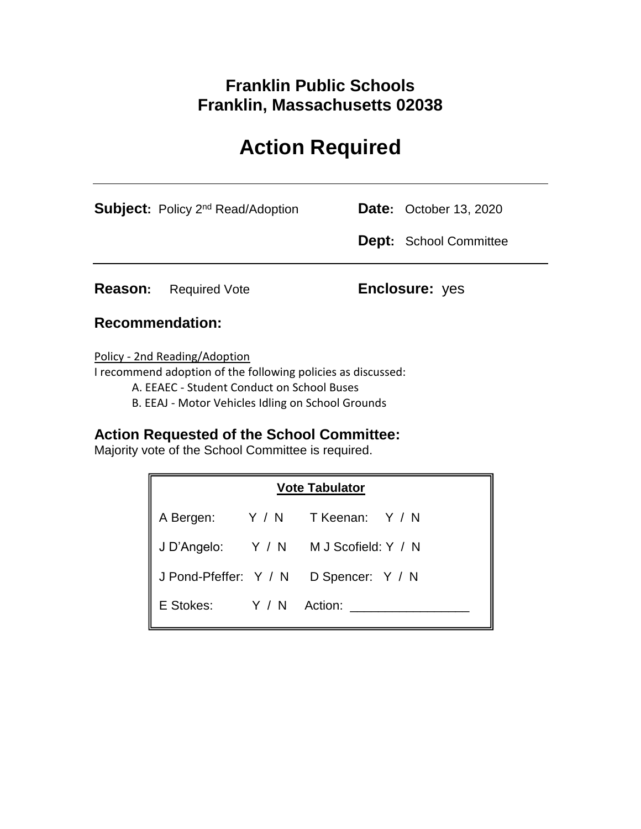# **Franklin Public Schools Franklin, Massachusetts 02038**

# **Action Required**

|         | <b>Subject:</b> Policy 2 <sup>nd</sup> Read/Adoption | <b>Date:</b> October 13, 2020 |
|---------|------------------------------------------------------|-------------------------------|
|         |                                                      | <b>Dept:</b> School Committee |
| Reason: | Required Vote                                        | <b>Enclosure:</b> yes         |

### **Recommendation:**

Policy - 2nd Reading/Adoption

I recommend adoption of the following policies as discussed:

A. EEAEC - Student Conduct on School Buses

B. EEAJ - Motor Vehicles Idling on School Grounds

## **Action Requested of the School Committee:**

Majority vote of the School Committee is required.

| <b>Vote Tabulator</b>   |  |                                      |  |  |
|-------------------------|--|--------------------------------------|--|--|
| A Bergen:               |  | Y/N TKeenan: Y/N                     |  |  |
|                         |  | JD'Angelo: Y / N M J Scofield: Y / N |  |  |
| J Pond-Pfeffer: Y / N   |  | D Spencer: Y / N                     |  |  |
| E Stokes: Y / N Action: |  |                                      |  |  |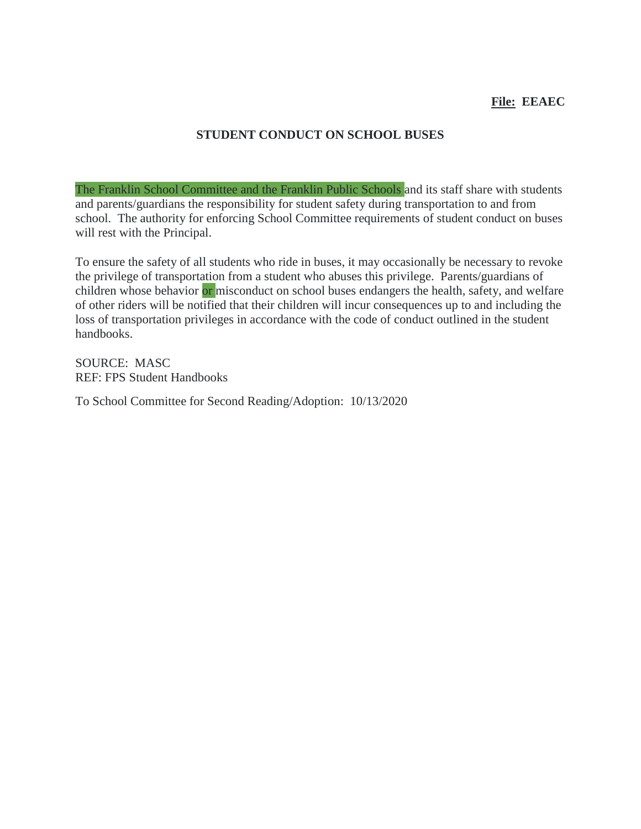#### **File: EEAEC**

#### **STUDENT CONDUCT ON SCHOOL BUSES**

The Franklin School Committee and the Franklin Public Schools and its staff share with students and parents/guardians the responsibility for student safety during transportation to and from school. The authority for enforcing School Committee requirements of student conduct on buses will rest with the Principal.

To ensure the safety of all students who ride in buses, it may occasionally be necessary to revoke the privilege of transportation from a student who abuses this privilege. Parents/guardians of children whose behavior or misconduct on school buses endangers the health, safety, and welfare of other riders will be notified that their children will incur consequences up to and including the loss of transportation privileges in accordance with the code of conduct outlined in the student handbooks.

SOURCE: MASC REF: FPS Student Handbooks

To School Committee for Second Reading/Adoption: 10/13/2020